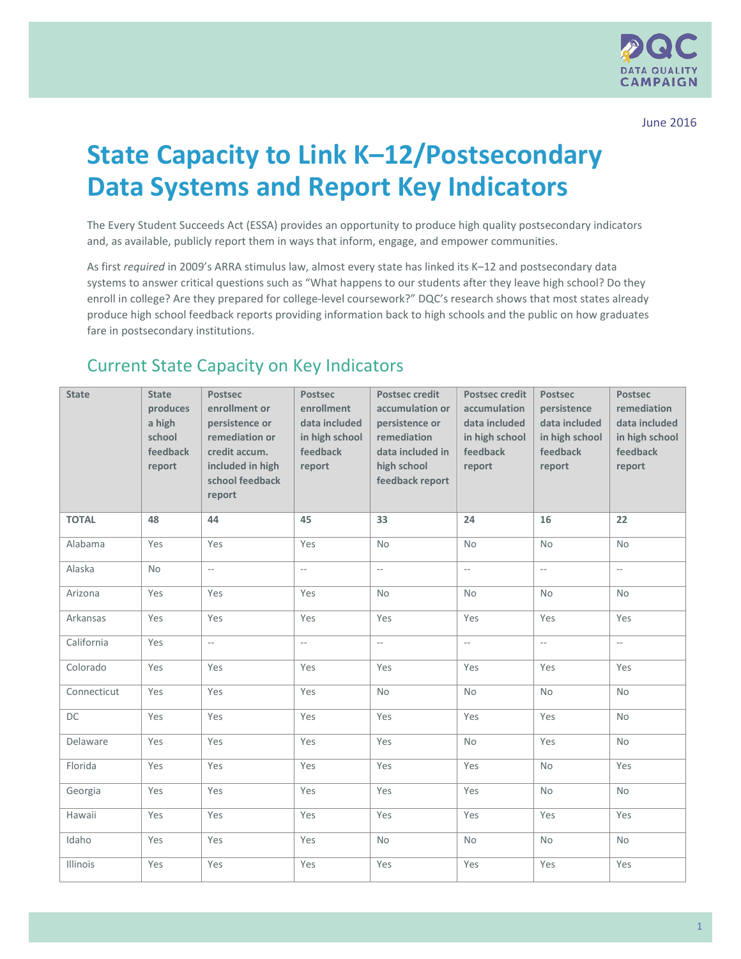

## **State Capacity to Link K–12/Postsecondary Data Systems and Report Key Indicators**

The Every Student Succeeds Act (ESSA) provides an opportunity to produce high quality postsecondary indicators and, as available, publicly report them in ways that inform, engage, and empower communities.

As first *required* in 2009's ARRA stimulus law, almost every state has linked its K–12 and postsecondary data systems to answer critical questions such as "What happens to our students after they leave high school? Do they enroll in college? Are they prepared for college-level coursework?" DQC's research shows that most states already produce high school feedback reports providing information back to high schools and the public on how graduates fare in postsecondary institutions.

## Current State Capacity on Key Indicators

| <b>State</b>    | <b>State</b><br>produces<br>a high<br>school<br>feedback<br>report | <b>Postsec</b><br>enrollment or<br>persistence or<br>remediation or<br>credit accum.<br>included in high<br>school feedback<br>report | <b>Postsec</b><br>enrollment<br>data included<br>in high school<br>feedback<br>report | <b>Postsec credit</b><br>accumulation or<br>persistence or<br>remediation<br>data included in<br>high school<br>feedback report | <b>Postsec credit</b><br>accumulation<br>data included<br>in high school<br>feedback<br>report | <b>Postsec</b><br>persistence<br>data included<br>in high school<br>feedback<br>report | <b>Postsec</b><br>remediation<br>data included<br>in high school<br>feedback<br>report |
|-----------------|--------------------------------------------------------------------|---------------------------------------------------------------------------------------------------------------------------------------|---------------------------------------------------------------------------------------|---------------------------------------------------------------------------------------------------------------------------------|------------------------------------------------------------------------------------------------|----------------------------------------------------------------------------------------|----------------------------------------------------------------------------------------|
| <b>TOTAL</b>    | 48                                                                 | 44                                                                                                                                    | 45                                                                                    | 33                                                                                                                              | 24                                                                                             | 16                                                                                     | 22                                                                                     |
| Alabama         | Yes                                                                | Yes                                                                                                                                   | Yes                                                                                   | <b>No</b>                                                                                                                       | <b>No</b>                                                                                      | <b>No</b>                                                                              | <b>No</b>                                                                              |
| Alaska          | <b>No</b>                                                          | $\sim$                                                                                                                                | $\overline{a}$                                                                        | $\sim$                                                                                                                          | $\mathord{\hspace{1pt}\text{--}\hspace{1pt}}$                                                  | $\mathcal{L}_{\mathcal{L}}$                                                            | $\mathcal{L}_{\mathcal{A}}$                                                            |
| Arizona         | Yes                                                                | Yes                                                                                                                                   | Yes                                                                                   | <b>No</b>                                                                                                                       | <b>No</b>                                                                                      | <b>No</b>                                                                              | <b>No</b>                                                                              |
| Arkansas        | Yes                                                                | Yes                                                                                                                                   | Yes                                                                                   | Yes                                                                                                                             | Yes                                                                                            | Yes                                                                                    | Yes                                                                                    |
| California      | Yes                                                                | $\overline{\phantom{a}}$                                                                                                              | $\overline{a}$                                                                        | $\overline{\phantom{a}}$                                                                                                        | $\overline{\phantom{m}}$                                                                       | $\mathcal{L}_{\mathcal{A}}$                                                            | $\overline{\phantom{a}}$                                                               |
| Colorado        | Yes                                                                | Yes                                                                                                                                   | Yes                                                                                   | Yes                                                                                                                             | Yes                                                                                            | Yes                                                                                    | Yes                                                                                    |
| Connecticut     | Yes                                                                | Yes                                                                                                                                   | Yes                                                                                   | <b>No</b>                                                                                                                       | <b>No</b>                                                                                      | <b>No</b>                                                                              | <b>No</b>                                                                              |
| DC              | Yes                                                                | Yes                                                                                                                                   | Yes                                                                                   | Yes                                                                                                                             | Yes                                                                                            | Yes                                                                                    | <b>No</b>                                                                              |
| Delaware        | Yes                                                                | Yes                                                                                                                                   | Yes                                                                                   | Yes                                                                                                                             | <b>No</b>                                                                                      | Yes                                                                                    | <b>No</b>                                                                              |
| Florida         | Yes                                                                | Yes                                                                                                                                   | Yes                                                                                   | Yes                                                                                                                             | Yes                                                                                            | <b>No</b>                                                                              | Yes                                                                                    |
| Georgia         | Yes                                                                | Yes                                                                                                                                   | Yes                                                                                   | Yes                                                                                                                             | Yes                                                                                            | <b>No</b>                                                                              | <b>No</b>                                                                              |
| Hawaii          | Yes                                                                | Yes                                                                                                                                   | Yes                                                                                   | Yes                                                                                                                             | Yes                                                                                            | Yes                                                                                    | Yes                                                                                    |
| Idaho           | Yes                                                                | Yes                                                                                                                                   | Yes                                                                                   | <b>No</b>                                                                                                                       | <b>No</b>                                                                                      | No                                                                                     | <b>No</b>                                                                              |
| <b>Illinois</b> | Yes                                                                | Yes                                                                                                                                   | Yes                                                                                   | Yes                                                                                                                             | Yes                                                                                            | Yes                                                                                    | Yes                                                                                    |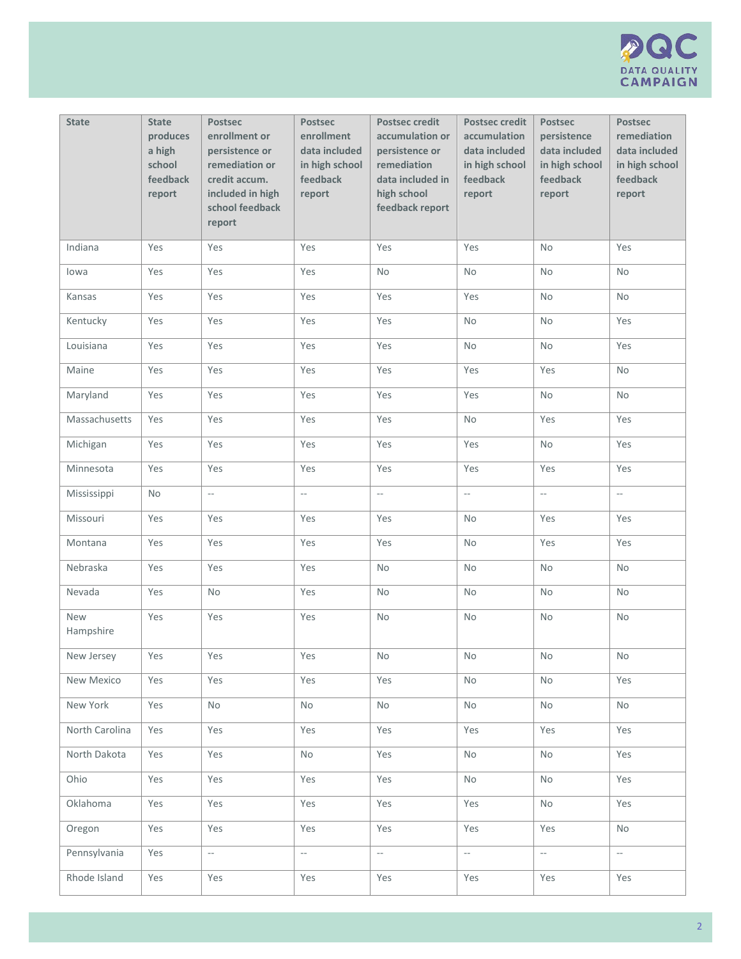

| <b>State</b>     | <b>State</b><br>produces<br>a high<br>school<br>feedback<br>report | <b>Postsec</b><br>enrollment or<br>persistence or<br>remediation or<br>credit accum.<br>included in high<br>school feedback<br>report | <b>Postsec</b><br>enrollment<br>data included<br>in high school<br>feedback<br>report | <b>Postsec credit</b><br>accumulation or<br>persistence or<br>remediation<br>data included in<br>high school<br>feedback report | <b>Postsec credit</b><br>accumulation<br>data included<br>in high school<br>feedback<br>report | Postsec<br>persistence<br>data included<br>in high school<br>feedback<br>report | Postsec<br>remediation<br>data included<br>in high school<br>feedback<br>report |
|------------------|--------------------------------------------------------------------|---------------------------------------------------------------------------------------------------------------------------------------|---------------------------------------------------------------------------------------|---------------------------------------------------------------------------------------------------------------------------------|------------------------------------------------------------------------------------------------|---------------------------------------------------------------------------------|---------------------------------------------------------------------------------|
| Indiana          | Yes                                                                | Yes                                                                                                                                   | Yes                                                                                   | Yes                                                                                                                             | Yes                                                                                            | No                                                                              | Yes                                                                             |
| lowa             | Yes                                                                | Yes                                                                                                                                   | Yes                                                                                   | No                                                                                                                              | <b>No</b>                                                                                      | <b>No</b>                                                                       | <b>No</b>                                                                       |
| Kansas           | Yes                                                                | Yes                                                                                                                                   | Yes                                                                                   | Yes                                                                                                                             | Yes                                                                                            | <b>No</b>                                                                       | No                                                                              |
| Kentucky         | Yes                                                                | Yes                                                                                                                                   | Yes                                                                                   | Yes                                                                                                                             | <b>No</b>                                                                                      | <b>No</b>                                                                       | Yes                                                                             |
| Louisiana        | Yes                                                                | Yes                                                                                                                                   | Yes                                                                                   | Yes                                                                                                                             | <b>No</b>                                                                                      | <b>No</b>                                                                       | Yes                                                                             |
| Maine            | Yes                                                                | Yes                                                                                                                                   | Yes                                                                                   | Yes                                                                                                                             | Yes                                                                                            | Yes                                                                             | <b>No</b>                                                                       |
| Maryland         | Yes                                                                | Yes                                                                                                                                   | Yes                                                                                   | Yes                                                                                                                             | Yes                                                                                            | <b>No</b>                                                                       | <b>No</b>                                                                       |
| Massachusetts    | Yes                                                                | Yes                                                                                                                                   | Yes                                                                                   | Yes                                                                                                                             | <b>No</b>                                                                                      | Yes                                                                             | Yes                                                                             |
| Michigan         | Yes                                                                | Yes                                                                                                                                   | Yes                                                                                   | Yes                                                                                                                             | Yes                                                                                            | <b>No</b>                                                                       | Yes                                                                             |
| Minnesota        | Yes                                                                | Yes                                                                                                                                   | Yes                                                                                   | Yes                                                                                                                             | Yes                                                                                            | Yes                                                                             | Yes                                                                             |
| Mississippi      | No                                                                 | $\overline{\phantom{a}}$                                                                                                              | $\overline{\phantom{a}}$                                                              | $\overline{\phantom{a}}$                                                                                                        | $\overline{\phantom{a}}$                                                                       | $\overline{\phantom{a}}$                                                        | $\overline{\phantom{a}}$                                                        |
| Missouri         | Yes                                                                | Yes                                                                                                                                   | Yes                                                                                   | Yes                                                                                                                             | <b>No</b>                                                                                      | Yes                                                                             | Yes                                                                             |
| Montana          | Yes                                                                | Yes                                                                                                                                   | Yes                                                                                   | Yes                                                                                                                             | <b>No</b>                                                                                      | Yes                                                                             | Yes                                                                             |
| Nebraska         | Yes                                                                | Yes                                                                                                                                   | Yes                                                                                   | No                                                                                                                              | <b>No</b>                                                                                      | <b>No</b>                                                                       | <b>No</b>                                                                       |
| Nevada           | Yes                                                                | <b>No</b>                                                                                                                             | Yes                                                                                   | No                                                                                                                              | <b>No</b>                                                                                      | <b>No</b>                                                                       | <b>No</b>                                                                       |
| New<br>Hampshire | Yes                                                                | Yes                                                                                                                                   | Yes                                                                                   | <b>No</b>                                                                                                                       | <b>No</b>                                                                                      | No                                                                              | No                                                                              |
| New Jersey       | Yes                                                                | Yes                                                                                                                                   | Yes                                                                                   | No                                                                                                                              | $\mathsf{No}$                                                                                  | No                                                                              | No                                                                              |
| New Mexico       | Yes                                                                | Yes                                                                                                                                   | Yes                                                                                   | Yes                                                                                                                             | No                                                                                             | No                                                                              | Yes                                                                             |
| New York         | Yes                                                                | No                                                                                                                                    | No                                                                                    | No                                                                                                                              | No                                                                                             | No                                                                              | No                                                                              |
| North Carolina   | Yes                                                                | Yes                                                                                                                                   | Yes                                                                                   | Yes                                                                                                                             | Yes                                                                                            | Yes                                                                             | Yes                                                                             |
| North Dakota     | Yes                                                                | Yes                                                                                                                                   | No                                                                                    | Yes                                                                                                                             | No                                                                                             | No                                                                              | Yes                                                                             |
| Ohio             | Yes                                                                | Yes                                                                                                                                   | Yes                                                                                   | Yes                                                                                                                             | No                                                                                             | No                                                                              | Yes                                                                             |
| Oklahoma         | Yes                                                                | Yes                                                                                                                                   | Yes                                                                                   | Yes                                                                                                                             | Yes                                                                                            | No                                                                              | Yes                                                                             |
| Oregon           | Yes                                                                | Yes                                                                                                                                   | Yes                                                                                   | Yes                                                                                                                             | Yes                                                                                            | Yes                                                                             | No                                                                              |
| Pennsylvania     | Yes                                                                | $\overline{\phantom{a}}$                                                                                                              | $\overline{\phantom{a}}$                                                              | $\overline{\phantom{a}}$                                                                                                        | $\mathbb{L}_\mathbb{R}$                                                                        | $\overline{\phantom{a}}$                                                        | $\overline{\phantom{a}}$                                                        |
| Rhode Island     | Yes                                                                | Yes                                                                                                                                   | Yes                                                                                   | Yes                                                                                                                             | Yes                                                                                            | Yes                                                                             | Yes                                                                             |